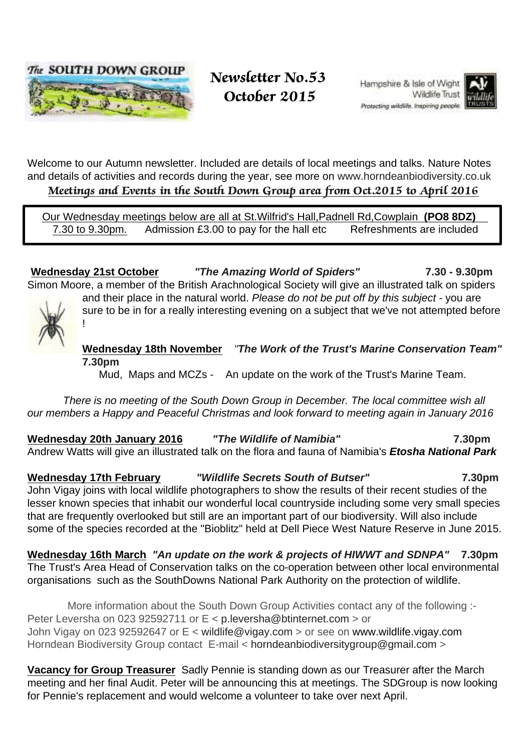

### Newsletter No.53 October 2015

Hampshire & Isle of Wight Wildlife Trust Protecting wildlife, Inspiring people.



Welcome to our Autumn newsletter. Included are details of local meetings and talks. Nature Notes and details of activities and records during the year, see more on www.horndeanbiodiversity.co.uk Meetings and Events in the South Down Group area from Oct.2015 to April 2016

 Our Wednesday meetings below are all at St.Wilfrid's Hall,Padnell Rd,Cowplain **(PO8 8DZ)**  7.30 to 9.30pm. Admission £3.00 to pay for the hall etc Refreshments are included

**Wednesday 21st October "The Amazing World of Spiders" 7.30 - 9.30pm** Simon Moore, a member of the British Arachnological Society will give an illustrated talk on spiders and their place in the natural world. Please do not be put off by this subject - you are

!

**Wednesday 18th November** "**The Work of the Trust's Marine Conservation Team" 7.30pm**

sure to be in for a really interesting evening on a subject that we've not attempted before

Mud, Maps and MCZs - An update on the work of the Trust's Marine Team.

 There is no meeting of the South Down Group in December. The local committee wish all our members a Happy and Peaceful Christmas and look forward to meeting again in January 2016

**Wednesday 20th January 2016 "The Wildlife of Namibia" 7.30pm** Andrew Watts will give an illustrated talk on the flora and fauna of Namibia's **Etosha National Park**

**Wednesday 17th February "Wildlife Secrets South of Butser" 7.30pm** John Vigay joins with local wildlife photographers to show the results of their recent studies of the lesser known species that inhabit our wonderful local countryside including some very small species that are frequently overlooked but still are an important part of our biodiversity. Will also include some of the species recorded at the "Bioblitz" held at Dell Piece West Nature Reserve in June 2015.

**Wednesday 16th March "An update on the work & projects of HIWWT and SDNPA" 7.30pm** The Trust's Area Head of Conservation talks on the co-operation between other local environmental organisations such as the SouthDowns National Park Authority on the protection of wildlife.

More information about the South Down Group Activities contact any of the following :-Peter Leversha on 023 92592711 or E < p.leversha@btinternet.com > or John Vigay on 023 92592647 or E < wildlife@vigay.com > or see on www.wildlife.vigay.com Horndean Biodiversity Group contact E-mail < horndeanbiodiversitygroup@gmail.com >

**Vacancy for Group Treasurer** Sadly Pennie is standing down as our Treasurer after the March meeting and her final Audit. Peter will be announcing this at meetings. The SDGroup is now looking for Pennie's replacement and would welcome a volunteer to take over next April.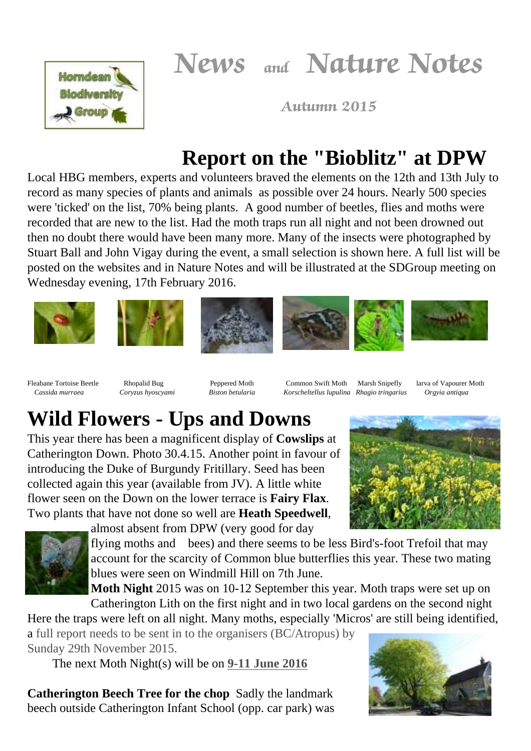News and Nature Notes



Autumn 2015

## **Report on the "Bioblitz" at DPW**

Local HBG members, experts and volunteers braved the elements on the 12th and 13th July to record as many species of plants and animals as possible over 24 hours. Nearly 500 species were 'ticked' on the list, 70% being plants. A good number of beetles, flies and moths were recorded that are new to the list. Had the moth traps run all night and not been drowned out then no doubt there would have been many more. Many of the insects were photographed by Stuart Ball and John Vigay during the event, a small selection is shown here. A full list will be posted on the websites and in Nature Notes and will be illustrated at the SDGroup meeting on Wednesday evening, 17th February 2016.



Fleabane Tortoise Beetle Rhopalid Bug Peppered Moth Common Swift Moth Marsh Snipefly larva of Vapourer Moth C*assida murraea Coryzus hyoscyami Biston betularia Korscheltellus lupulina Rhagio tringarius Orgyia antiqua*

# **Wild Flowers - Ups and Downs**

This year there has been a magnificent display of **Cowslips** at Catherington Down. Photo 30.4.15. Another point in favour of introducing the Duke of Burgundy Fritillary. Seed has been collected again this year (available from JV). A little white flower seen on the Down on the lower terrace is **Fairy Flax**. Two plants that have not done so well are **Heath Speedwell**,



almost absent from DPW (very good for day

flying moths and bees) and there seems to be less Bird's-foot Trefoil that may account for the scarcity of Common blue butterflies this year. These two mating blues were seen on Windmill Hill on 7th June.

**Moth Night** 2015 was on 10-12 September this year. Moth traps were set up on Catherington Lith on the first night and in two local gardens on the second night

Here the traps were left on all night. Many moths, especially 'Micros' are still being identified, a full report needs to be sent in to the organisers (BC/Atropus) by Sunday 29th November 2015.

The next Moth Night(s) will be on **9-11 June 2016**

**Catherington Beech Tree for the chop** Sadly the landmark beech outside Catherington Infant School (opp. car park) was